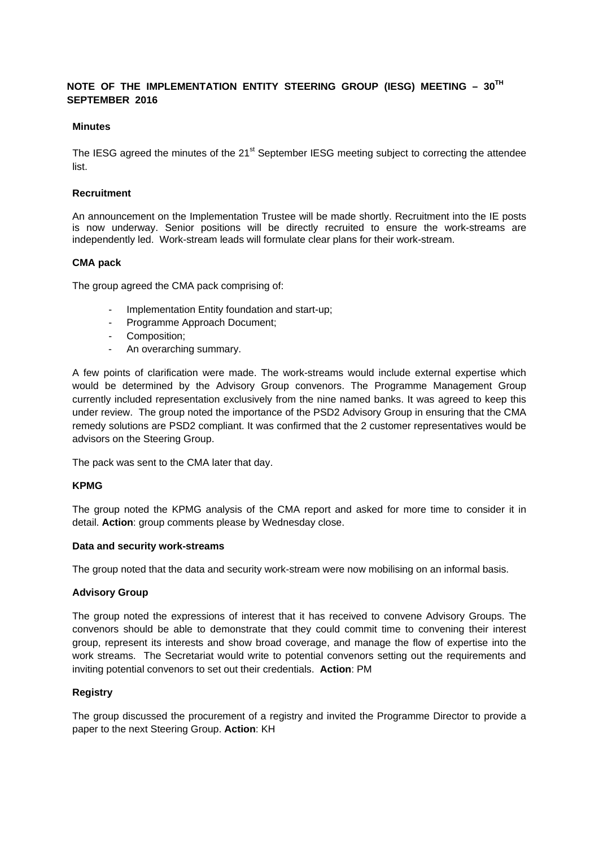# **NOTE OF THE IMPLEMENTATION ENTITY STEERING GROUP (IESG) MEETING – 30TH SEPTEMBER 2016**

#### **Minutes**

The IESG agreed the minutes of the 21<sup>st</sup> September IESG meeting subject to correcting the attendee list.

#### **Recruitment**

An announcement on the Implementation Trustee will be made shortly. Recruitment into the IE posts is now underway. Senior positions will be directly recruited to ensure the work-streams are independently led. Work-stream leads will formulate clear plans for their work-stream.

#### **CMA pack**

The group agreed the CMA pack comprising of:

- Implementation Entity foundation and start-up;
- Programme Approach Document;
- Composition;
- An overarching summary.

A few points of clarification were made. The work-streams would include external expertise which would be determined by the Advisory Group convenors. The Programme Management Group currently included representation exclusively from the nine named banks. It was agreed to keep this under review. The group noted the importance of the PSD2 Advisory Group in ensuring that the CMA remedy solutions are PSD2 compliant. It was confirmed that the 2 customer representatives would be advisors on the Steering Group.

The pack was sent to the CMA later that day.

## **KPMG**

The group noted the KPMG analysis of the CMA report and asked for more time to consider it in detail. **Action**: group comments please by Wednesday close.

#### **Data and security work-streams**

The group noted that the data and security work-stream were now mobilising on an informal basis.

## **Advisory Group**

The group noted the expressions of interest that it has received to convene Advisory Groups. The convenors should be able to demonstrate that they could commit time to convening their interest group, represent its interests and show broad coverage, and manage the flow of expertise into the work streams. The Secretariat would write to potential convenors setting out the requirements and inviting potential convenors to set out their credentials. **Action**: PM

## **Registry**

The group discussed the procurement of a registry and invited the Programme Director to provide a paper to the next Steering Group. **Action**: KH